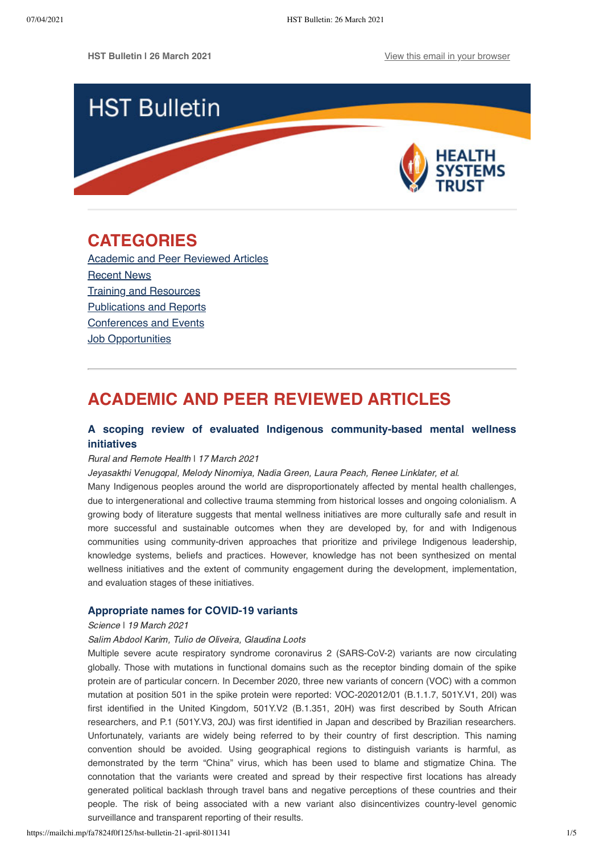

# <span id="page-0-1"></span>**CATEGORIES**

[Academic and Peer Reviewed Articles](#page-0-0) Recent News [Training and Resources](#page-2-0) [Publications and Reports](#page-2-1) [Conferences and Events](#page-3-0) **[Job Opportunities](#page-3-1)** 

# <span id="page-0-0"></span>**ACADEMIC AND PEER REVIEWED ARTICLES**

# **[A scoping review of evaluated Indigenous community-based mental wellness](https://www.rrh.org.au/journal/article/6203) initiatives**

# Rural and Remote Health ǀ 17 March 2021

Jeyasakthi Venugopal, Melody Ninomiya, Nadia Green, Laura Peach, Renee Linklater, et al.

Many Indigenous peoples around the world are disproportionately affected by mental health challenges, due to intergenerational and collective trauma stemming from historical losses and ongoing colonialism. A growing body of literature suggests that mental wellness initiatives are more culturally safe and result in more successful and sustainable outcomes when they are developed by, for and with Indigenous communities using community-driven approaches that prioritize and privilege Indigenous leadership, knowledge systems, beliefs and practices. However, knowledge has not been synthesized on mental wellness initiatives and the extent of community engagement during the development, implementation, and evaluation stages of these initiatives.

# **[Appropriate names for COVID-19 variants](https://science.sciencemag.org/content/371/6535/1215)**

#### Science | 19 March 2021

# Salim Abdool Karim, Tulio de Oliveira, Glaudina Loots

Multiple severe acute respiratory syndrome coronavirus 2 (SARS-CoV-2) variants are now circulating globally. Those with mutations in functional domains such as the receptor binding domain of the spike protein are of particular concern. In December 2020, three new variants of concern (VOC) with a common mutation at position 501 in the spike protein were reported: VOC-202012/01 (B.1.1.7, 501Y.V1, 20I) was first identified in the United Kingdom, 501Y.V2 (B.1.351, 20H) was first described by South African researchers, and P.1 (501Y.V3, 20J) was first identified in Japan and described by Brazilian researchers. Unfortunately, variants are widely being referred to by their country of first description. This naming convention should be avoided. Using geographical regions to distinguish variants is harmful, as demonstrated by the term "China" virus, which has been used to blame and stigmatize China. The connotation that the variants were created and spread by their respective first locations has already generated political backlash through travel bans and negative perceptions of these countries and their people. The risk of being associated with a new variant also disincentivizes country-level genomic surveillance and transparent reporting of their results.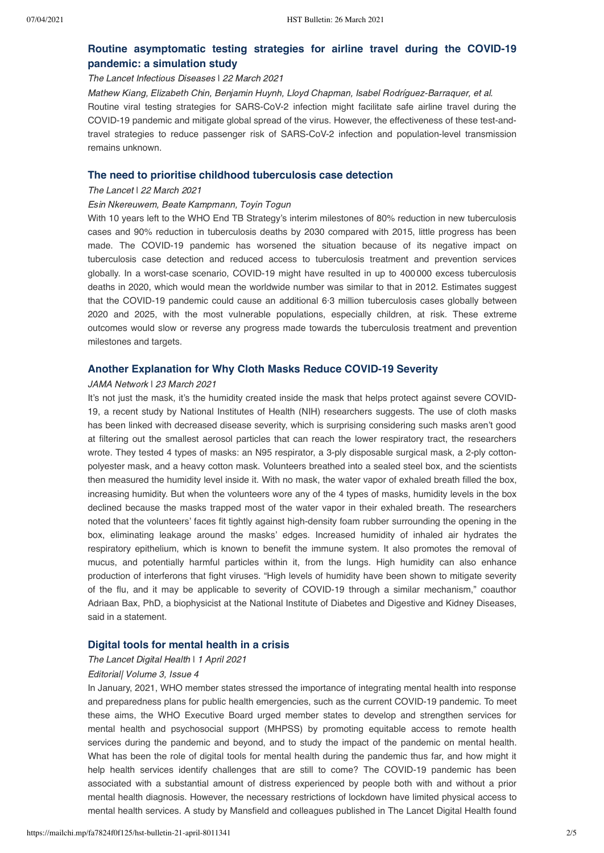# **[Routine asymptomatic testing strategies for airline travel during the COVID-19](https://www.thelancet.com/journals/laninf/article/PIIS1473-3099(21)00134-1/fulltext) pandemic: a simulation study**

### The Lancet Infectious Diseases ǀ 22 March 2021

Mathew Kiang, Elizabeth Chin, Benjamin Huynh, Lloyd Chapman, Isabel Rodríguez-Barraquer, et al. Routine viral testing strategies for SARS-CoV-2 infection might facilitate safe airline travel during the COVID-19 pandemic and mitigate global spread of the virus. However, the effectiveness of these test-andtravel strategies to reduce passenger risk of SARS-CoV-2 infection and population-level transmission remains unknown.

# **[The need to prioritise childhood tuberculosis case detection](https://www.thelancet.com/journals/lancet/article/PIIS0140-6736(21)00672-3/fulltext#.YFm37MWvTcU.twitter)**

#### The Lancet | 22 March 2021

### Esin Nkereuwem, Beate Kampmann, Toyin Togun

With 10 years left to the WHO End TB Strategy's interim milestones of 80% reduction in new tuberculosis cases and 90% reduction in tuberculosis deaths by 2030 compared with 2015, little progress has been made. The COVID-19 pandemic has worsened the situation because of its negative impact on tuberculosis case detection and reduced access to tuberculosis treatment and prevention services globally. In a worst-case scenario, COVID-19 might have resulted in up to 400 000 excess tuberculosis deaths in 2020, which would mean the worldwide number was similar to that in 2012. Estimates suggest that the COVID-19 pandemic could cause an additional 6·3 million tuberculosis cases globally between 2020 and 2025, with the most vulnerable populations, especially children, at risk. These extreme outcomes would slow or reverse any progress made towards the tuberculosis treatment and prevention milestones and targets.

## **[Another Explanation for Why Cloth Masks Reduce COVID-19 Severity](https://jamanetwork.com/journals/jama/fullarticle/2777695?guestAccessKey=967ee6b5-048e-45ab-9f34-4b062982984e&utm_source=twitter&utm_medium=social_jama&utm_term=4646881554&utm_campaign=article_alert&linkId=114161459)**

#### JAMA Network | 23 March 2021

It's not just the mask, it's the humidity created inside the mask that helps protect against severe COVID-19, a recent study by National Institutes of Health (NIH) researchers suggests. The use of cloth masks has been linked with decreased disease severity, which is surprising considering such masks aren't good at filtering out the smallest aerosol particles that can reach the lower respiratory tract, the researchers wrote. They tested 4 types of masks: an N95 respirator, a 3-ply disposable surgical mask, a 2-ply cottonpolyester mask, and a heavy cotton mask. Volunteers breathed into a sealed steel box, and the scientists then measured the humidity level inside it. With no mask, the water vapor of exhaled breath filled the box, increasing humidity. But when the volunteers wore any of the 4 types of masks, humidity levels in the box declined because the masks trapped most of the water vapor in their exhaled breath. The researchers noted that the volunteers' faces fit tightly against high-density foam rubber surrounding the opening in the box, eliminating leakage around the masks' edges. Increased humidity of inhaled air hydrates the respiratory epithelium, which is known to benefit the immune system. It also promotes the removal of mucus, and potentially harmful particles within it, from the lungs. High humidity can also enhance production of interferons that fight viruses. "High levels of humidity have been shown to mitigate severity of the flu, and it may be applicable to severity of COVID-19 through a similar mechanism," coauthor Adriaan Bax, PhD, a biophysicist at the National Institute of Diabetes and Digestive and Kidney Diseases, said in a statement.

### **[Digital tools for mental health in a crisis](https://www.thelancet.com/journals/landig/article/PIIS2589-7500(21)00045-5/fulltext)**

#### The Lancet Digital Health | 1 April 2021

## Editorial| Volume 3, Issue 4

In January, 2021, WHO member states stressed the importance of integrating mental health into response and preparedness plans for public health emergencies, such as the current COVID-19 pandemic. To meet these aims, the WHO Executive Board urged member states to develop and strengthen services for mental health and psychosocial support (MHPSS) by promoting equitable access to remote health services during the pandemic and beyond, and to study the impact of the pandemic on mental health. What has been the role of digital tools for mental health during the pandemic thus far, and how might it help health services identify challenges that are still to come? The COVID-19 pandemic has been associated with a substantial amount of distress experienced by people both with and without a prior mental health diagnosis. However, the necessary restrictions of lockdown have limited physical access to mental health services. A study by Mansfield and colleagues published in The Lancet Digital Health found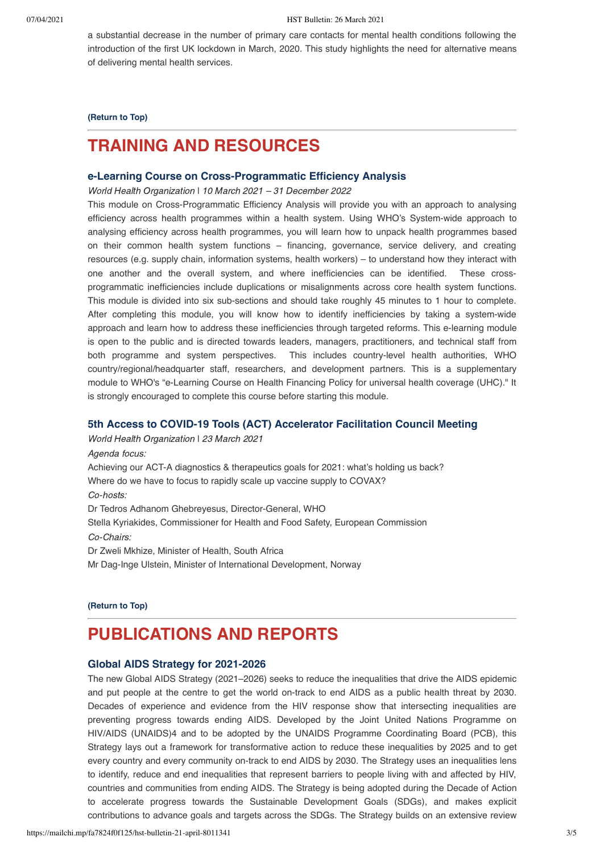a substantial decrease in the number of primary care contacts for mental health conditions following the introduction of the first UK lockdown in March, 2020. This study highlights the need for alternative means of delivering mental health services.

**[\(Return to Top\)](#page-0-1)**

# <span id="page-2-0"></span>**TRAINING AND RESOURCES**

# **[e-Learning Course on Cross-Programmatic Efficiency Analysis](https://www.who.int/news-room/events/detail/2021/03/10/default-calendar/e-learning-course-on-cross-programmatic-efficiency-analysis)**

World Health Organization ǀ 10 March 2021 – 31 December 2022

This module on Cross-Programmatic Efficiency Analysis will provide you with an approach to analysing efficiency across health programmes within a health system. Using WHO's System-wide approach to analysing efficiency across health programmes, you will learn how to unpack health programmes based on their common health system functions – financing, governance, service delivery, and creating resources (e.g. supply chain, information systems, health workers) – to understand how they interact with one another and the overall system, and where inefficiencies can be identified. These crossprogrammatic inefficiencies include duplications or misalignments across core health system functions. This module is divided into six sub-sections and should take roughly 45 minutes to 1 hour to complete. After completing this module, you will know how to identify inefficiencies by taking a system-wide approach and learn how to address these inefficiencies through targeted reforms. This e-learning module is open to the public and is directed towards leaders, managers, practitioners, and technical staff from both programme and system perspectives. This includes country-level health authorities, WHO country/regional/headquarter staff, researchers, and development partners. This is a supplementary module to WHO's "e-Learning Course on Health Financing Policy for universal health coverage (UHC)." It is strongly encouraged to complete this course before starting this module.

# **[5th Access to COVID-19 Tools \(ACT\) Accelerator Facilitation Council Meeting](https://www.who.int/news-room/events/detail/2021/03/23/default-calendar/5th-access-to-covid-19-tools-(act)-accelerator-facilitation-council-meeting)**

World Health Organization | 23 March 2021 Agenda focus: Achieving our ACT-A diagnostics & therapeutics goals for 2021: what's holding us back? Where do we have to focus to rapidly scale up vaccine supply to COVAX? Co-hosts: Dr Tedros Adhanom Ghebreyesus, Director-General, WHO Stella Kyriakides, Commissioner for Health and Food Safety, European Commission Co-Chairs: Dr Zweli Mkhize, Minister of Health, South Africa Mr Dag-Inge Ulstein, Minister of International Development, Norway

**[\(Return to Top\)](#page-0-1)**

# <span id="page-2-1"></span>**PUBLICATIONS AND REPORTS**

# **[Global AIDS Strategy for 2021-2026](https://www.unaids.org/en/resources/documents/2021/PCBSS_Global_AIDS_Strategy_2021-2026?fbclid=IwAR2m0_bVu_Rzz9x2hsnI-yqxmlXJvldBBKbaL6UCYNjR61KMQoul0GaW9W0)**

The new Global AIDS Strategy (2021–2026) seeks to reduce the inequalities that drive the AIDS epidemic and put people at the centre to get the world on-track to end AIDS as a public health threat by 2030. Decades of experience and evidence from the HIV response show that intersecting inequalities are preventing progress towards ending AIDS. Developed by the Joint United Nations Programme on HIV/AIDS (UNAIDS)4 and to be adopted by the UNAIDS Programme Coordinating Board (PCB), this Strategy lays out a framework for transformative action to reduce these inequalities by 2025 and to get every country and every community on-track to end AIDS by 2030. The Strategy uses an inequalities lens to identify, reduce and end inequalities that represent barriers to people living with and affected by HIV, countries and communities from ending AIDS. The Strategy is being adopted during the Decade of Action to accelerate progress towards the Sustainable Development Goals (SDGs), and makes explicit contributions to advance goals and targets across the SDGs. The Strategy builds on an extensive review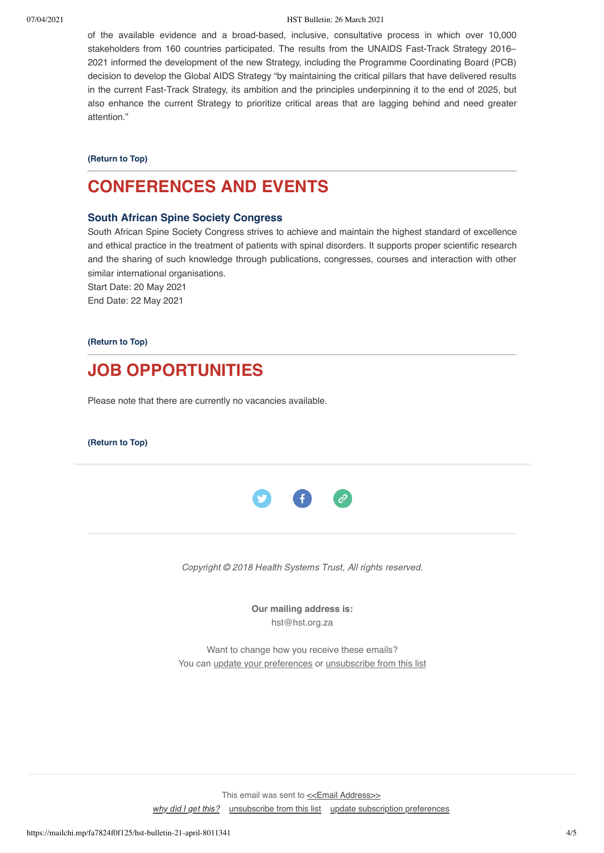#### 07/04/2021 HST Bulletin: 26 March 2021

of the available evidence and a broad-based, inclusive, consultative process in which over 10,000 stakeholders from 160 countries participated. The results from the UNAIDS Fast-Track Strategy 2016– 2021 informed the development of the new Strategy, including the Programme Coordinating Board (PCB) decision to develop the Global AIDS Strategy "by maintaining the critical pillars that have delivered results in the current Fast-Track Strategy, its ambition and the principles underpinning it to the end of 2025, but also enhance the current Strategy to prioritize critical areas that are lagging behind and need greater attention."

**[\(Return to Top\)](#page-0-1)**

# <span id="page-3-0"></span>**CONFERENCES AND EVENTS**

# **[South African Spine Society Congress](https://www.mpconsulting.co.za/events/791/south-african-spine-society-sass-congress-2021)**

South African Spine Society Congress strives to achieve and maintain the highest standard of excellence and ethical practice in the treatment of patients with spinal disorders. It supports proper scientific research and the sharing of such knowledge through publications, congresses, courses and interaction with other similar international organisations.

Start Date: 20 May 2021 End Date: 22 May 2021

**[\(Return to Top\)](#page-0-1)**

<span id="page-3-1"></span>

Please note that there are currently no vacancies available.

**[\(Return to Top\)](#page-0-1)**



Copyright © 2018 Health Systems Trust, All rights reserved.

**Our mailing address is:** hst@hst.org.za

Want to change how you receive these emails? You can [update your preferences](https://hst.us14.list-manage.com/profile?u=72d7614ab973e486252cafb97&id=ac4ca52ce0&e=[UNIQID]&c=26b474a272) or [unsubscribe from this list](https://hst.us14.list-manage.com/unsubscribe?u=72d7614ab973e486252cafb97&id=ac4ca52ce0&e=[UNIQID]&c=26b474a272)